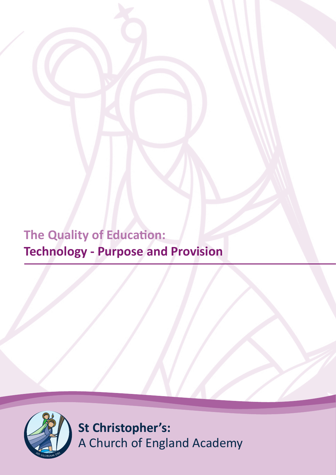**The Quality of Education: Technology - Purpose and Provision**



**St Christopher's:** A Church of England Academy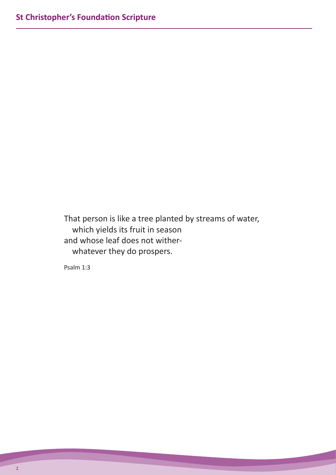That person is like a tree planted by streams of water, which yields its fruit in season and whose leaf does not wither whatever they do prospers.

Psalm 1:3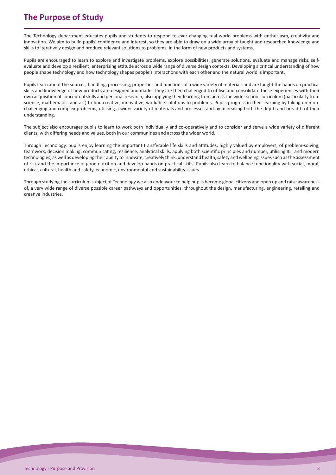# **The Purpose of Study**

The Technology department educates pupils and students to respond to ever changing real world problems with enthusiasm, creativity and innovation. We aim to build pupils' confidence and interest, so they are able to draw on a wide array of taught and researched knowledge and skills to iteratively design and produce relevant solutions to problems, in the form of new products and systems.

Pupils are encouraged to learn to explore and investigate problems, explore possibilities, generate solutions, evaluate and manage risks, selfevaluate and develop a resilient, enterprising attitude across a wide range of diverse design contexts. Developing a critical understanding of how people shape technology and how technology shapes people's interactions with each other and the natural world is important.

Pupils learn about the sources, handling, processing, properties and functions of a wide variety of materials and are taught the hands on practical skills and knowledge of how products are designed and made. They are then challenged to utilise and consolidate these experiences with their own acquisition of conceptual skills and personal research, also applying their learning from across the wider school curriculum (particularly from science, mathematics and art) to find creative, innovative, workable solutions to problems. Pupils progress in their learning by taking on more challenging and complex problems, utilising a wider variety of materials and processes and by increasing both the depth and breadth of their understanding.

The subject also encourages pupils to learn to work both individually and co-operatively and to consider and serve a wide variety of different clients, with differing needs and values, both in our communities and across the wider world.

Through Technology, pupils enjoy learning the important transferable life skills and attitudes, highly valued by employers, of problem-solving, teamwork, decision making, communicating, resilience, analytical skills, applying both scientific principles and number, utilising ICT and modern technologies, as well as developing their ability to innovate, creatively think, understand health, safety and wellbeing issues such as the assessment of risk and the importance of good nutrition and develop hands on practical skills. Pupils also learn to balance functionality with social, moral, ethical, cultural, health and safety, economic, environmental and sustainability issues.

Through studying the curriculum subject of Technology we also endeavour to help pupils become global citizens and open up and raise awareness of, a very wide range of diverse possible career pathways and opportunities, throughout the design, manufacturing, engineering, retailing and creative industries.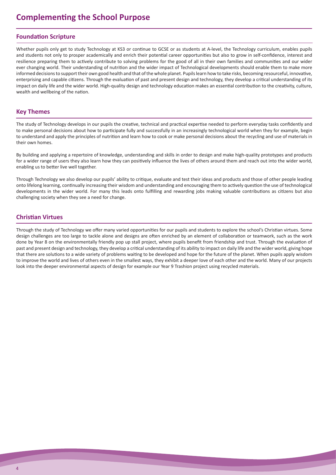# **Complementing the School Purpose**

# **Foundation Scripture**

Whether pupils only get to study Technology at KS3 or continue to GCSE or as students at A-level, the Technology curriculum, enables pupils and students not only to prosper academically and enrich their potential career opportunities but also to grow in self-confidence, interest and resilience preparing them to actively contribute to solving problems for the good of all in their own families and communities and our wider ever changing world. Their understanding of nutrition and the wider impact of Technological developments should enable them to make more informed decisions to support their own good health and that of the whole planet. Pupils learn how to take risks, becoming resourceful, innovative, enterprising and capable citizens. Through the evaluation of past and present design and technology, they develop a critical understanding of its impact on daily life and the wider world. High-quality design and technology education makes an essential contribution to the creativity, culture, wealth and wellbeing of the nation.

# **Key Themes**

The study of Technology develops in our pupils the creative, technical and practical expertise needed to perform everyday tasks confidently and to make personal decisions about how to participate fully and successfully in an increasingly technological world when they for example, begin to understand and apply the principles of nutrition and learn how to cook or make personal decisions about the recycling and use of materials in their own homes.

By building and applying a repertoire of knowledge, understanding and skills in order to design and make high-quality prototypes and products for a wider range of users they also learn how they can positively influence the lives of others around them and reach out into the wider world, enabling us to better live well together.

Through Technology we also develop our pupils' ability to critique, evaluate and test their ideas and products and those of other people leading onto lifelong learning, continually increasing their wisdom and understanding and encouraging them to actively question the use of technological developments in the wider world. For many this leads onto fulfilling and rewarding jobs making valuable contributions as citizens but also challenging society when they see a need for change.

# **Christian Virtues**

Through the study of Technology we offer many varied opportunities for our pupils and students to explore the school's Christian virtues. Some design challenges are too large to tackle alone and designs are often enriched by an element of collaboration or teamwork, such as the work done by Year 8 on the environmentally friendly pop up stall project, where pupils benefit from friendship and trust. Through the evaluation of past and present design and technology, they develop a critical understanding of its ability to impact on daily life and the wider world, giving hope that there are solutions to a wide variety of problems waiting to be developed and hope for the future of the planet. When pupils apply wisdom to improve the world and lives of others even in the smallest ways, they exhibit a deeper love of each other and the world. Many of our projects look into the deeper environmental aspects of design for example our Year 9 Trashion project using recycled materials.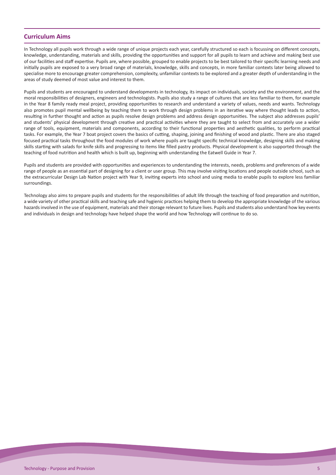#### **Curriculum Aims**

In Technology all pupils work through a wide range of unique projects each year, carefully structured so each is focussing on different concepts, knowledge, understanding, materials and skills, providing the opportunities and support for all pupils to learn and achieve and making best use of our facilities and staff expertise. Pupils are, where possible, grouped to enable projects to be best tailored to their specific learning needs and initially pupils are exposed to a very broad range of materials, knowledge, skills and concepts, in more familiar contexts later being allowed to specialise more to encourage greater comprehension, complexity, unfamiliar contexts to be explored and a greater depth of understanding in the areas of study deemed of most value and interest to them.

Pupils and students are encouraged to understand developments in technology, its impact on individuals, society and the environment, and the moral responsibilities of designers, engineers and technologists. Pupils also study a range of cultures that are less familiar to them, for example in the Year 8 family ready meal project, providing opportunities to research and understand a variety of values, needs and wants. Technology also promotes pupil mental wellbeing by teaching them to work through design problems in an iterative way where thought leads to action, resulting in further thought and action as pupils resolve design problems and address design opportunities. The subject also addresses pupils' and students' physical development through creative and practical activities where they are taught to select from and accurately use a wider range of tools, equipment, materials and components, according to their functional properties and aesthetic qualities, to perform practical tasks. For example, the Year 7 boat project covers the basics of cutting, shaping, joining and finishing of wood and plastic. There are also staged focused practical tasks throughout the food modules of work where pupils are taught specific technical knowledge, designing skills and making skills starting with salads for knife skills and progressing to items like filled pastry products. Physical development is also supported through the teaching of food nutrition and health which is built up, beginning with understanding the Eatwell Guide in Year 7.

Pupils and students are provided with opportunities and experiences to understanding the interests, needs, problems and preferences of a wide range of people as an essential part of designing for a client or user group. This may involve visiting locations and people outside school, such as the extracurricular Design Lab Nation project with Year 9, inviting experts into school and using media to enable pupils to explore less familiar surroundings.

Technology also aims to prepare pupils and students for the responsibilities of adult life through the teaching of food preparation and nutrition, a wide variety of other practical skills and teaching safe and hygienic practices helping them to develop the appropriate knowledge of the various hazards involved in the use of equipment, materials and their storage relevant to future lives. Pupils and students also understand how key events and individuals in design and technology have helped shape the world and how Technology will continue to do so.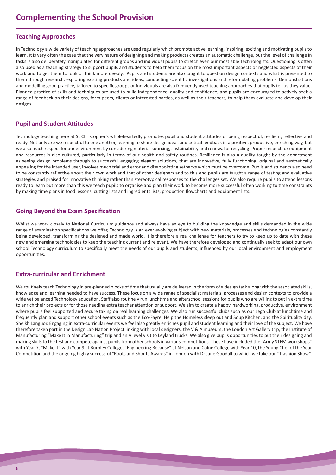# **Teaching Approaches**

In Technology a wide variety of teaching approaches are used regularly which promote active learning, inspiring, exciting and motivating pupils to learn. It is very often the case that the very nature of designing and making products creates an automatic challenge, but the level of challenge in tasks is also deliberately manipulated for different groups and individual pupils to stretch even our most able Technologists. Questioning is often also used as a teaching strategy to support pupils and students to help them focus on the most important aspects or neglected aspects of their work and to get them to look or think more deeply. Pupils and students are also taught to question design contexts and what is presented to them through research, exploring existing products and ideas, conducting scientific investigations and reformulating problems. Demonstrations and modelling good practice, tailored to specific groups or individuals are also frequently used teaching approaches that pupils tell us they value. Planned practice of skills and techniques are used to build independence, quality and confidence, and pupils are encouraged to actively seek a range of feedback on their designs, form peers, clients or interested parties, as well as their teachers, to help them evaluate and develop their designs.

# **Pupil and Student Attitudes**

Technology teaching here at St Christopher's wholeheartedly promotes pupil and student attitudes of being respectful, resilient, reflective and ready. Not only are we respectful to one another, learning to share design ideas and critical feedback in a positive, productive, enriching way, but we also teach respect for our environment by considering material sourcing, sustainability and renewal or recycling. Proper respect for equipment and resources is also cultured, particularly in terms of our health and safety routines. Resilience is also a quality taught by the department as seeing design problems through to successful engaging elegant solutions, that are innovative, fully functioning, original and aesthetically appealing for the intended user, involves much trial and error and disappointing setbacks which must be overcome. Pupils and students also need to be constantly reflective about their own work and that of other designers and to this end pupils are taught a range of testing and evaluative strategies and praised for innovative thinking rather than stereotypical responses to the challenges set. We also require pupils to attend lessons ready to learn but more than this we teach pupils to organise and plan their work to become more successful often working to time constraints by making time plans in food lessons, cutting lists and ingredients lists, production flowcharts and equipment lists.

# **Going Beyond the Exam Specification**

Whilst we work closely to National Curriculum guidance and always have an eye to building the knowledge and skills demanded in the wide range of examination specifications we offer, Technology is an ever evolving subject with new materials, processes and technologies constantly being developed, transforming the designed and made world. It is therefore a real challenge for teachers to try to keep up to date with these new and emerging technologies to keep the teaching current and relevant. We have therefore developed and continually seek to adapt our own school Technology curriculum to specifically meet the needs of our pupils and students, influenced by our local environment and employment opportunities.

# **Extra-curricular and Enrichment**

We routinely teach Technology in pre-planned blocks of time that usually are delivered in the form of a design task along with the associated skills, knowledge and learning needed to have success. These focus on a wide range of specialist materials, processes and design contexts to provide a wide yet balanced Technology education. Staff also routinely run lunchtime and afterschool sessions for pupils who are willing to put in extra time to enrich their projects or for those needing extra teacher attention or support. We aim to create a happy, hardworking, productive, environment where pupils feel supported and secure taking on real learning challenges. We also run successful clubs such as our Lego Club at lunchtime and frequently plan and support other school events such as the Eco-Fayre, Help the Homeless sleep out and Soup Kitchen, and the Spirituality day, Sheikh Languor. Engaging in extra-curricular events we feel also greatly enriches pupil and student learning and their love of the subject. We have therefore taken part in the Design Lab Nation Project linking with local designers, the V & A museum, the London Art Gallery trip, the Institute of Manufacturing "Make It in Manufacturing" trip and an A level visit to Leyland trucks. We also give pupils opportunities to put their designing and making skills to the test and compete against pupils from other schools in various competitions. These have included the "Army STEM workshops" with Year 7, "Make it" with Year 9 at Burnley College, "Engineering Because" at Nelson and Colne College with Year 10, the Young Chef of the Year Competition and the ongoing highly successful "Roots and Shouts Awards" in London with Dr Jane Goodall to which we take our "Trashion Show".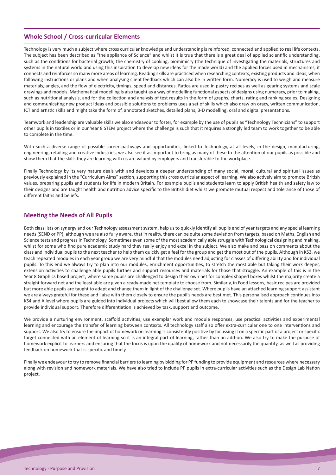# **Whole School / Cross-curricular Elements**

Technology is very much a subject where cross curricular knowledge and understanding is reinforced, connected and applied to real life contexts. The subject has been described as "the appliance of Science" and whilst it is true that there is a great deal of applied scientific understanding, such as the conditions for bacterial growth, the chemistry of cooking, biomimicry (the technique of investigating the materials, structures and systems in the natural world and using this inspiration to develop new ideas for the made world) and the applied forces used in mechanisms, it connects and reinforces so many more areas of learning. Reading skills are practiced when researching contexts, existing products and ideas, when following instructions or plans and when analysing client feedback which can also be in written form. Numeracy is used to weigh and measure materials, angles, and the flow of electricity, timings, speed and distances. Ratios are used in pastry recipes as well as gearing systems and scale drawings and models. Mathematical modelling is also taught as a way of modelling functional aspects of designs using numeracy, prior to making, such as nutritional analysis, and for the collection and analysis of test results in the form of graphs, charts, rating and ranking scales. Designing and communicating new product ideas and possible solutions to problems uses a set of skills which also draw on oracy, written communication, ICT and artistic skills and might take the form of, annotated sketches, detailed plans, 3-D modelling, oral and digital presentations.

Teamwork and leadership are valuable skills we also endeavour to foster, for example by the use of pupils as "Technology Technicians" to support other pupils in textiles or in our Year 8 STEM project where the challenge is such that it requires a strongly led team to work together to be able to complete in the time.

With such a diverse range of possible career pathways and opportunities, linked to Technology, at all levels, in the design, manufacturing, engineering, retailing and creative industries, we also see it as important to bring as many of these to the attention of our pupils as possible and show them that the skills they are learning with us are valued by employers and transferable to the workplace.

Finally Technology by its very nature deals with and develops a deeper understanding of many social, moral, cultural and spiritual issues as previously explained in the "Curriculum Aims" section, supporting this cross curricular aspect of learning. We also actively aim to promote British values, preparing pupils and students for life in modern Britain. For example pupils and students learn to apply British health and safety law to their designs and are taught health and nutrition advice specific to the British diet whilst we promote mutual respect and tolerance of those of different faiths and beliefs.

# **Meeting the Needs of All Pupils**

Both class lists on synergy and our Technology assessment system, help us to quickly identify all pupils end of year targets and any special learning needs (SEND or PP), although we are also fully aware, that in reality, there can be quite some deviation from targets, based on Maths, English and Science tests and progress in Technology. Sometimes even some of the most academically able struggle with Technological designing and making, whilst for some who find pure academic study hard they really enjoy and excel in the subject. We also make and pass on comments about the class and individual pupils to the next teacher to help them quickly get a feel for the group and get the most out of the pupils. Although in KS3, we teach repeated modules in each year group we are very mindful that the modules need adjusting for classes of differing ability and for individual pupils. To this end we always try to plan into our modules, enrichment opportunities, to stretch the most able but taking their work deeper, extension activities to challenge able pupils further and support resources and materials for those that struggle. An example of this is in the Year 8 Graphics based project, where some pupils are challenged to design their own net for complex shaped boxes whilst the majority create a straight forward net and the least able are given a ready-made net template to choose from. Similarly, in Food lessons, basic recipes are provided but more able pupils are taught to adapt and change them in light of the challenge set. Where pupils have an attached learning support assistant we are always grateful for these and liaise with them closely to ensure the pupil's needs are best met. This personalised approach continues into KS4 and A level where pupils are guided into individual projects which will best allow them each to showcase their talents and for the teacher to provide individual support. Therefore differentiation is achieved by task, support and outcome.

We provide a nurturing environment, scaffold activities, use exemplar work and module responses, use practical activities and experimental learning and encourage the transfer of learning between contexts. All technology staff also offer extra-curricular one to one interventions and support. We also try to ensure the impact of homework on learning is consistently positive by focussing it on a specific part of a project or specific target connected with an element of learning so it is an integral part of learning, rather than an add-on. We also try to make the purpose of homework explicit to learners and ensuring that the focus is upon the quality of homework and not necessarily the quantity, as well as providing feedback on homework that is specific and timely.

Finally we endeavour to try to remove financial barriers to learning by bidding for PP funding to provide equipment and resources where necessary along with revision and homework materials. We have also tried to include PP pupils in extra-curricular activities such as the Design Lab Nation project.